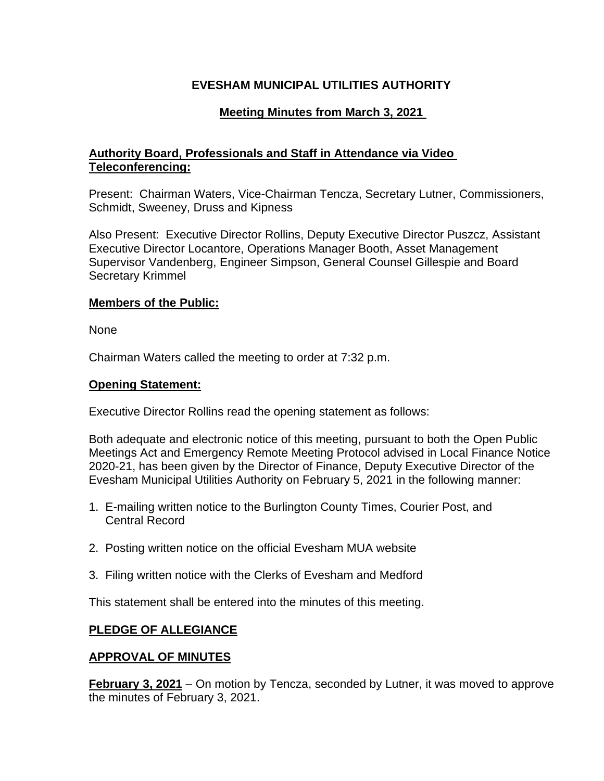# **EVESHAM MUNICIPAL UTILITIES AUTHORITY**

# **Meeting Minutes from March 3, 2021**

# **Authority Board, Professionals and Staff in Attendance via Video Teleconferencing:**

Present: Chairman Waters, Vice-Chairman Tencza, Secretary Lutner, Commissioners, Schmidt, Sweeney, Druss and Kipness

Also Present: Executive Director Rollins, Deputy Executive Director Puszcz, Assistant Executive Director Locantore, Operations Manager Booth, Asset Management Supervisor Vandenberg, Engineer Simpson, General Counsel Gillespie and Board Secretary Krimmel

### **Members of the Public:**

None

Chairman Waters called the meeting to order at 7:32 p.m.

### **Opening Statement:**

Executive Director Rollins read the opening statement as follows:

Both adequate and electronic notice of this meeting, pursuant to both the Open Public Meetings Act and Emergency Remote Meeting Protocol advised in Local Finance Notice 2020-21, has been given by the Director of Finance, Deputy Executive Director of the Evesham Municipal Utilities Authority on February 5, 2021 in the following manner:

- 1. E-mailing written notice to the Burlington County Times, Courier Post, and Central Record
- 2. Posting written notice on the official Evesham MUA website
- 3. Filing written notice with the Clerks of Evesham and Medford

This statement shall be entered into the minutes of this meeting.

## **PLEDGE OF ALLEGIANCE**

## **APPROVAL OF MINUTES**

**February 3, 2021** – On motion by Tencza, seconded by Lutner, it was moved to approve the minutes of February 3, 2021.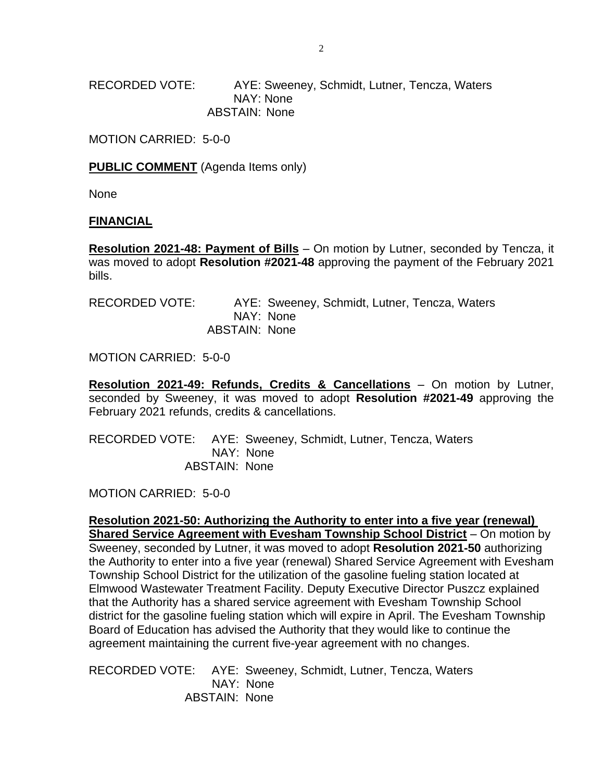RECORDED VOTE: AYE: Sweeney, Schmidt, Lutner, Tencza, Waters NAY: None ABSTAIN: None

MOTION CARRIED: 5-0-0

**PUBLIC COMMENT** (Agenda Items only)

None

#### **FINANCIAL**

**Resolution 2021-48: Payment of Bills** – On motion by Lutner, seconded by Tencza, it was moved to adopt **Resolution #2021-48** approving the payment of the February 2021 bills.

| RECORDED VOTE: |                      | AYE: Sweeney, Schmidt, Lutner, Tencza, Waters |  |  |
|----------------|----------------------|-----------------------------------------------|--|--|
|                |                      | NAY: None                                     |  |  |
|                | <b>ABSTAIN: None</b> |                                               |  |  |

MOTION CARRIED: 5-0-0

**Resolution 2021-49: Refunds, Credits & Cancellations** – On motion by Lutner, seconded by Sweeney, it was moved to adopt **Resolution #2021-49** approving the February 2021 refunds, credits & cancellations.

RECORDED VOTE: AYE: Sweeney, Schmidt, Lutner, Tencza, Waters NAY: None ABSTAIN: None

MOTION CARRIED: 5-0-0

**Resolution 2021-50: Authorizing the Authority to enter into a five year (renewal) Shared Service Agreement with Evesham Township School District** – On motion by Sweeney, seconded by Lutner, it was moved to adopt **Resolution 2021-50** authorizing the Authority to enter into a five year (renewal) Shared Service Agreement with Evesham Township School District for the utilization of the gasoline fueling station located at Elmwood Wastewater Treatment Facility. Deputy Executive Director Puszcz explained that the Authority has a shared service agreement with Evesham Township School district for the gasoline fueling station which will expire in April. The Evesham Township Board of Education has advised the Authority that they would like to continue the agreement maintaining the current five-year agreement with no changes.

RECORDED VOTE: AYE: Sweeney, Schmidt, Lutner, Tencza, Waters NAY: None ABSTAIN: None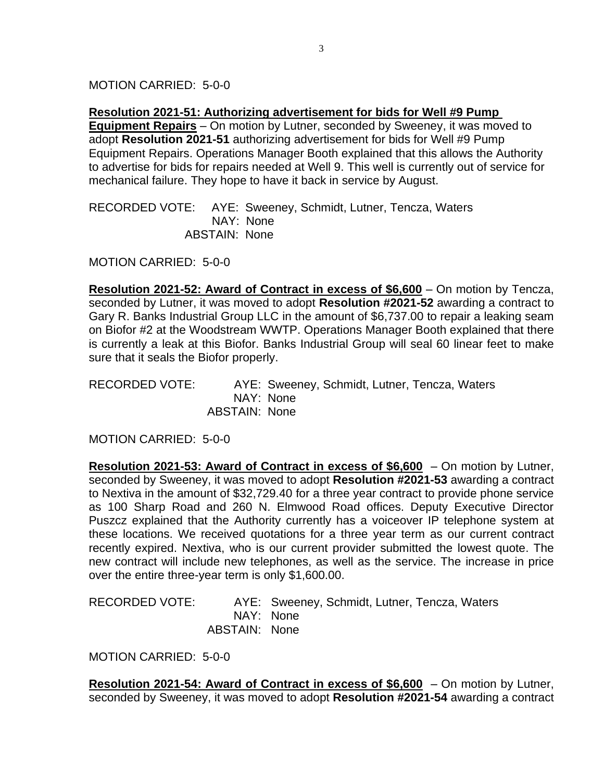MOTION CARRIED: 5-0-0

**Resolution 2021-51: Authorizing advertisement for bids for Well #9 Pump** 

**Equipment Repairs** – On motion by Lutner, seconded by Sweeney, it was moved to adopt **Resolution 2021-51** authorizing advertisement for bids for Well #9 Pump Equipment Repairs. Operations Manager Booth explained that this allows the Authority to advertise for bids for repairs needed at Well 9. This well is currently out of service for mechanical failure. They hope to have it back in service by August.

RECORDED VOTE: AYE: Sweeney, Schmidt, Lutner, Tencza, Waters NAY: None ABSTAIN: None

MOTION CARRIED: 5-0-0

**Resolution 2021-52: Award of Contract in excess of \$6,600** – On motion by Tencza, seconded by Lutner, it was moved to adopt **Resolution #2021-52** awarding a contract to Gary R. Banks Industrial Group LLC in the amount of \$6,737.00 to repair a leaking seam on Biofor #2 at the Woodstream WWTP. Operations Manager Booth explained that there is currently a leak at this Biofor. Banks Industrial Group will seal 60 linear feet to make sure that it seals the Biofor properly.

RECORDED VOTE: AYE: Sweeney, Schmidt, Lutner, Tencza, Waters NAY: None ABSTAIN: None

MOTION CARRIED: 5-0-0

**Resolution 2021-53: Award of Contract in excess of \$6,600** – On motion by Lutner, seconded by Sweeney, it was moved to adopt **Resolution #2021-53** awarding a contract to Nextiva in the amount of \$32,729.40 for a three year contract to provide phone service as 100 Sharp Road and 260 N. Elmwood Road offices. Deputy Executive Director Puszcz explained that the Authority currently has a voiceover IP telephone system at these locations. We received quotations for a three year term as our current contract recently expired. Nextiva, who is our current provider submitted the lowest quote. The new contract will include new telephones, as well as the service. The increase in price over the entire three-year term is only \$1,600.00.

RECORDED VOTE: AYE: Sweeney, Schmidt, Lutner, Tencza, Waters NAY: None ABSTAIN: None

MOTION CARRIED: 5-0-0

**Resolution 2021-54: Award of Contract in excess of \$6,600** – On motion by Lutner, seconded by Sweeney, it was moved to adopt **Resolution #2021-54** awarding a contract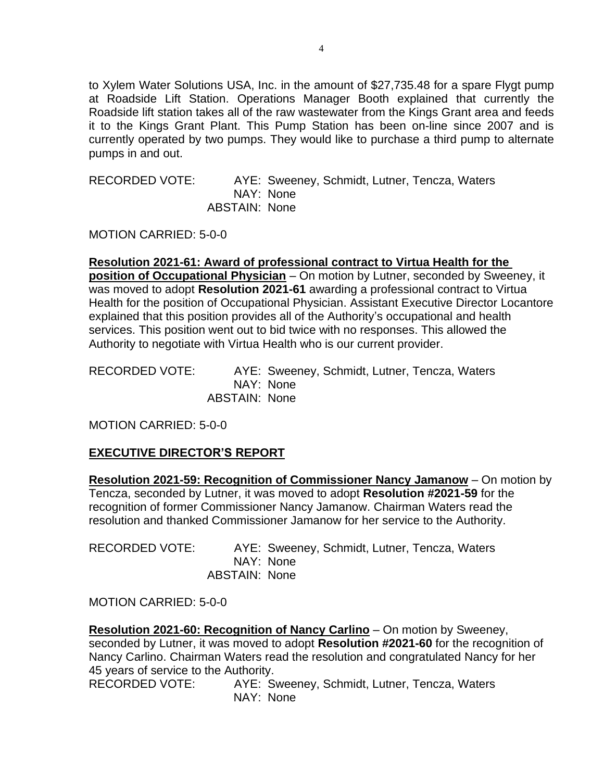to Xylem Water Solutions USA, Inc. in the amount of \$27,735.48 for a spare Flygt pump at Roadside Lift Station. Operations Manager Booth explained that currently the Roadside lift station takes all of the raw wastewater from the Kings Grant area and feeds it to the Kings Grant Plant. This Pump Station has been on-line since 2007 and is currently operated by two pumps. They would like to purchase a third pump to alternate pumps in and out.

RECORDED VOTE: AYE: Sweeney, Schmidt, Lutner, Tencza, Waters NAY: None ABSTAIN: None

MOTION CARRIED: 5-0-0

**Resolution 2021-61: Award of professional contract to Virtua Health for the position of Occupational Physician** – On motion by Lutner, seconded by Sweeney, it was moved to adopt **Resolution 2021-61** awarding a professional contract to Virtua Health for the position of Occupational Physician. Assistant Executive Director Locantore explained that this position provides all of the Authority's occupational and health services. This position went out to bid twice with no responses. This allowed the Authority to negotiate with Virtua Health who is our current provider.

RECORDED VOTE: AYE: Sweeney, Schmidt, Lutner, Tencza, Waters NAY: None ABSTAIN: None

MOTION CARRIED: 5-0-0

## **EXECUTIVE DIRECTOR'S REPORT**

**Resolution 2021-59: Recognition of Commissioner Nancy Jamanow** – On motion by Tencza, seconded by Lutner, it was moved to adopt **Resolution #2021-59** for the recognition of former Commissioner Nancy Jamanow. Chairman Waters read the resolution and thanked Commissioner Jamanow for her service to the Authority.

RECORDED VOTE: AYE: Sweeney, Schmidt, Lutner, Tencza, Waters NAY: None ABSTAIN: None

MOTION CARRIED: 5-0-0

**Resolution 2021-60: Recognition of Nancy Carlino** – On motion by Sweeney, seconded by Lutner, it was moved to adopt **Resolution #2021-60** for the recognition of Nancy Carlino. Chairman Waters read the resolution and congratulated Nancy for her 45 years of service to the Authority.

RECORDED VOTE: AYE: Sweeney, Schmidt, Lutner, Tencza, Waters NAY: None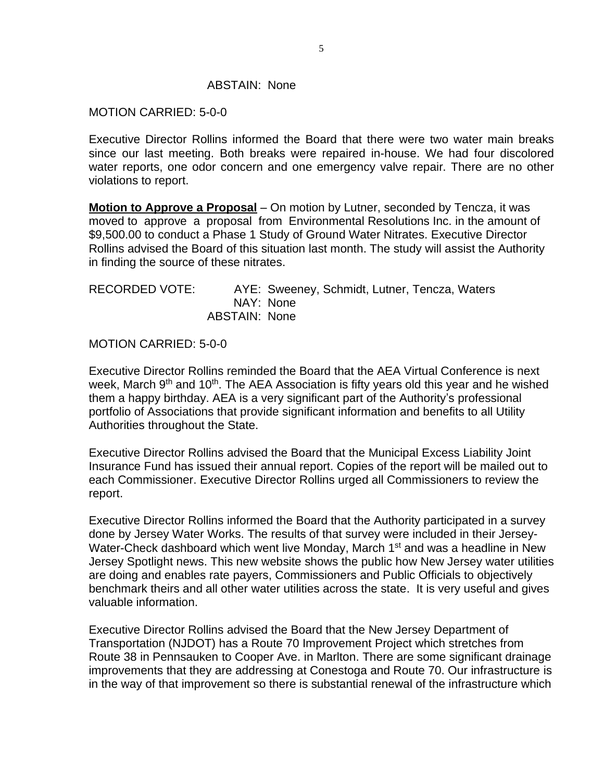#### ABSTAIN: None

### MOTION CARRIED: 5-0-0

Executive Director Rollins informed the Board that there were two water main breaks since our last meeting. Both breaks were repaired in-house. We had four discolored water reports, one odor concern and one emergency valve repair. There are no other violations to report.

**Motion to Approve a Proposal** – On motion by Lutner, seconded by Tencza, it was moved to approve a proposal from Environmental Resolutions Inc. in the amount of \$9,500.00 to conduct a Phase 1 Study of Ground Water Nitrates. Executive Director Rollins advised the Board of this situation last month. The study will assist the Authority in finding the source of these nitrates.

| RECORDED VOTE: |               | AYE: Sweeney, Schmidt, Lutner, Tencza, Waters |  |  |
|----------------|---------------|-----------------------------------------------|--|--|
|                |               | NAY: None                                     |  |  |
|                | ABSTAIN: None |                                               |  |  |

MOTION CARRIED: 5-0-0

Executive Director Rollins reminded the Board that the AEA Virtual Conference is next week, March 9<sup>th</sup> and 10<sup>th</sup>. The AEA Association is fifty years old this year and he wished them a happy birthday. AEA is a very significant part of the Authority's professional portfolio of Associations that provide significant information and benefits to all Utility Authorities throughout the State.

Executive Director Rollins advised the Board that the Municipal Excess Liability Joint Insurance Fund has issued their annual report. Copies of the report will be mailed out to each Commissioner. Executive Director Rollins urged all Commissioners to review the report.

Executive Director Rollins informed the Board that the Authority participated in a survey done by Jersey Water Works. The results of that survey were included in their Jersey-Water-Check dashboard which went live Monday, March 1<sup>st</sup> and was a headline in New Jersey Spotlight news. This new website shows the public how New Jersey water utilities are doing and enables rate payers, Commissioners and Public Officials to objectively benchmark theirs and all other water utilities across the state. It is very useful and gives valuable information.

Executive Director Rollins advised the Board that the New Jersey Department of Transportation (NJDOT) has a Route 70 Improvement Project which stretches from Route 38 in Pennsauken to Cooper Ave. in Marlton. There are some significant drainage improvements that they are addressing at Conestoga and Route 70. Our infrastructure is in the way of that improvement so there is substantial renewal of the infrastructure which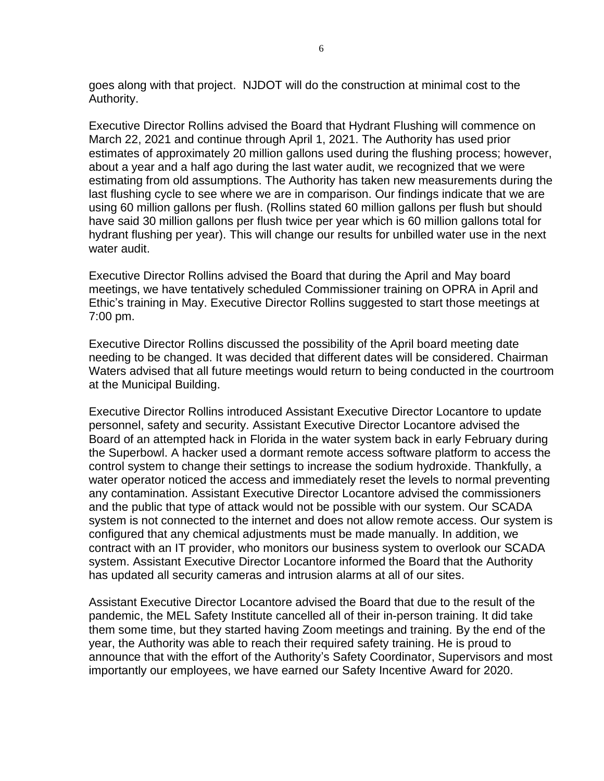goes along with that project. NJDOT will do the construction at minimal cost to the Authority.

Executive Director Rollins advised the Board that Hydrant Flushing will commence on March 22, 2021 and continue through April 1, 2021. The Authority has used prior estimates of approximately 20 million gallons used during the flushing process; however, about a year and a half ago during the last water audit, we recognized that we were estimating from old assumptions. The Authority has taken new measurements during the last flushing cycle to see where we are in comparison. Our findings indicate that we are using 60 million gallons per flush. (Rollins stated 60 million gallons per flush but should have said 30 million gallons per flush twice per year which is 60 million gallons total for hydrant flushing per year). This will change our results for unbilled water use in the next water audit.

Executive Director Rollins advised the Board that during the April and May board meetings, we have tentatively scheduled Commissioner training on OPRA in April and Ethic's training in May. Executive Director Rollins suggested to start those meetings at 7:00 pm.

Executive Director Rollins discussed the possibility of the April board meeting date needing to be changed. It was decided that different dates will be considered. Chairman Waters advised that all future meetings would return to being conducted in the courtroom at the Municipal Building.

Executive Director Rollins introduced Assistant Executive Director Locantore to update personnel, safety and security. Assistant Executive Director Locantore advised the Board of an attempted hack in Florida in the water system back in early February during the Superbowl. A hacker used a dormant remote access software platform to access the control system to change their settings to increase the sodium hydroxide. Thankfully, a water operator noticed the access and immediately reset the levels to normal preventing any contamination. Assistant Executive Director Locantore advised the commissioners and the public that type of attack would not be possible with our system. Our SCADA system is not connected to the internet and does not allow remote access. Our system is configured that any chemical adjustments must be made manually. In addition, we contract with an IT provider, who monitors our business system to overlook our SCADA system. Assistant Executive Director Locantore informed the Board that the Authority has updated all security cameras and intrusion alarms at all of our sites.

Assistant Executive Director Locantore advised the Board that due to the result of the pandemic, the MEL Safety Institute cancelled all of their in-person training. It did take them some time, but they started having Zoom meetings and training. By the end of the year, the Authority was able to reach their required safety training. He is proud to announce that with the effort of the Authority's Safety Coordinator, Supervisors and most importantly our employees, we have earned our Safety Incentive Award for 2020.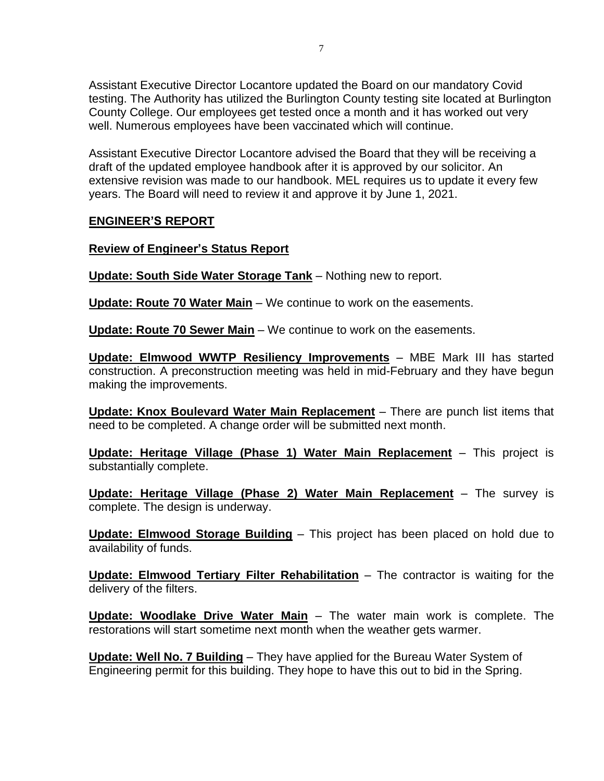Assistant Executive Director Locantore updated the Board on our mandatory Covid testing. The Authority has utilized the Burlington County testing site located at Burlington County College. Our employees get tested once a month and it has worked out very well. Numerous employees have been vaccinated which will continue.

Assistant Executive Director Locantore advised the Board that they will be receiving a draft of the updated employee handbook after it is approved by our solicitor. An extensive revision was made to our handbook. MEL requires us to update it every few years. The Board will need to review it and approve it by June 1, 2021.

# **ENGINEER'S REPORT**

## **Review of Engineer's Status Report**

**Update: South Side Water Storage Tank** – Nothing new to report.

**Update: Route 70 Water Main** – We continue to work on the easements.

**Update: Route 70 Sewer Main** – We continue to work on the easements.

**Update: Elmwood WWTP Resiliency Improvements** – MBE Mark III has started construction. A preconstruction meeting was held in mid-February and they have begun making the improvements.

**Update: Knox Boulevard Water Main Replacement** – There are punch list items that need to be completed. A change order will be submitted next month.

**Update: Heritage Village (Phase 1) Water Main Replacement** – This project is substantially complete.

**Update: Heritage Village (Phase 2) Water Main Replacement** – The survey is complete. The design is underway.

**Update: Elmwood Storage Building** – This project has been placed on hold due to availability of funds.

**Update: Elmwood Tertiary Filter Rehabilitation** – The contractor is waiting for the delivery of the filters.

**Update: Woodlake Drive Water Main** – The water main work is complete. The restorations will start sometime next month when the weather gets warmer.

**Update: Well No. 7 Building** – They have applied for the Bureau Water System of Engineering permit for this building. They hope to have this out to bid in the Spring.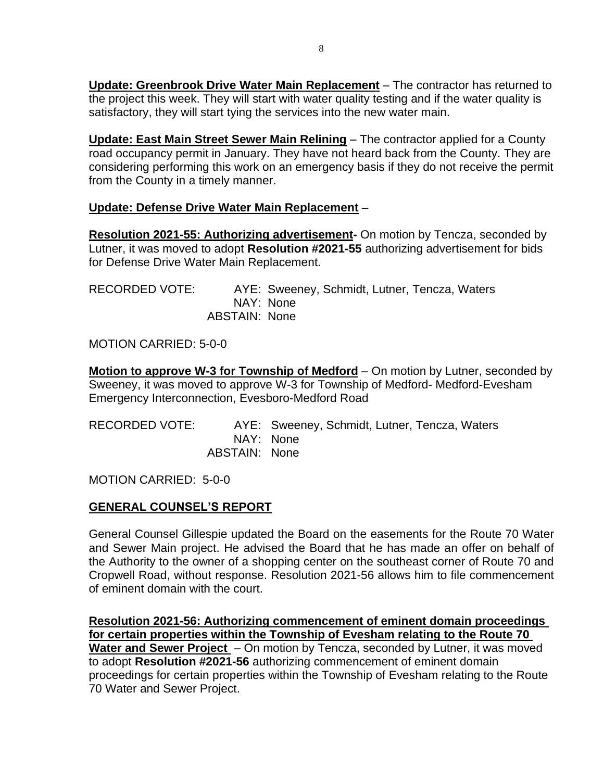**Update: Greenbrook Drive Water Main Replacement** – The contractor has returned to the project this week. They will start with water quality testing and if the water quality is satisfactory, they will start tying the services into the new water main.

**Update: East Main Street Sewer Main Relining** – The contractor applied for a County road occupancy permit in January. They have not heard back from the County. They are considering performing this work on an emergency basis if they do not receive the permit from the County in a timely manner.

# **Update: Defense Drive Water Main Replacement** –

**Resolution 2021-55: Authorizing advertisement-** On motion by Tencza, seconded by Lutner, it was moved to adopt **Resolution #2021-55** authorizing advertisement for bids for Defense Drive Water Main Replacement.

| RECORDED VOTE: |               | AYE: Sweeney, Schmidt, Lutner, Tencza, Waters |
|----------------|---------------|-----------------------------------------------|
|                |               | NAY: None                                     |
|                | ABSTAIN: None |                                               |

MOTION CARRIED: 5-0-0

**Motion to approve W-3 for Township of Medford** – On motion by Lutner, seconded by Sweeney, it was moved to approve W-3 for Township of Medford- Medford-Evesham Emergency Interconnection, Evesboro-Medford Road

| RECORDED VOTE: |               | AYE: Sweeney, Schmidt, Lutner, Tencza, Waters |
|----------------|---------------|-----------------------------------------------|
|                |               | NAY: None                                     |
|                | ABSTAIN: None |                                               |

MOTION CARRIED: 5-0-0

# **GENERAL COUNSEL'S REPORT**

General Counsel Gillespie updated the Board on the easements for the Route 70 Water and Sewer Main project. He advised the Board that he has made an offer on behalf of the Authority to the owner of a shopping center on the southeast corner of Route 70 and Cropwell Road, without response. Resolution 2021-56 allows him to file commencement of eminent domain with the court.

**Resolution 2021-56: Authorizing commencement of eminent domain proceedings for certain properties within the Township of Evesham relating to the Route 70 Water and Sewer Project** – On motion by Tencza, seconded by Lutner, it was moved to adopt **Resolution #2021-56** authorizing commencement of eminent domain proceedings for certain properties within the Township of Evesham relating to the Route 70 Water and Sewer Project.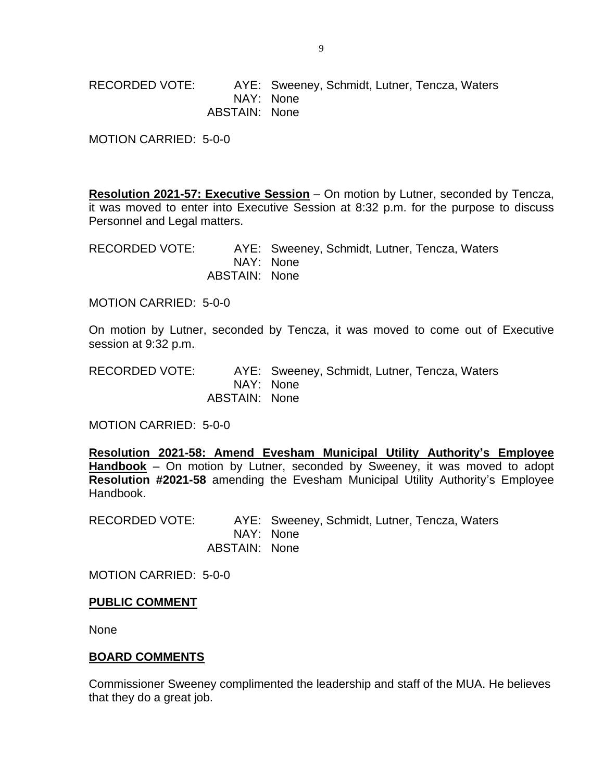RECORDED VOTE: AYE: Sweeney, Schmidt, Lutner, Tencza, Waters NAY: None ABSTAIN: None

MOTION CARRIED: 5-0-0

**Resolution 2021-57: Executive Session** – On motion by Lutner, seconded by Tencza, it was moved to enter into Executive Session at 8:32 p.m. for the purpose to discuss Personnel and Legal matters.

RECORDED VOTE: AYE: Sweeney, Schmidt, Lutner, Tencza, Waters NAY: None ABSTAIN: None

MOTION CARRIED: 5-0-0

On motion by Lutner, seconded by Tencza, it was moved to come out of Executive session at 9:32 p.m.

RECORDED VOTE: AYE: Sweeney, Schmidt, Lutner, Tencza, Waters NAY: None ABSTAIN: None

MOTION CARRIED: 5-0-0

**Resolution 2021-58: Amend Evesham Municipal Utility Authority's Employee Handbook** – On motion by Lutner, seconded by Sweeney, it was moved to adopt **Resolution #2021-58** amending the Evesham Municipal Utility Authority's Employee Handbook.

RECORDED VOTE: AYE: Sweeney, Schmidt, Lutner, Tencza, Waters NAY: None ABSTAIN: None

MOTION CARRIED: 5-0-0

#### **PUBLIC COMMENT**

None

#### **BOARD COMMENTS**

Commissioner Sweeney complimented the leadership and staff of the MUA. He believes that they do a great job.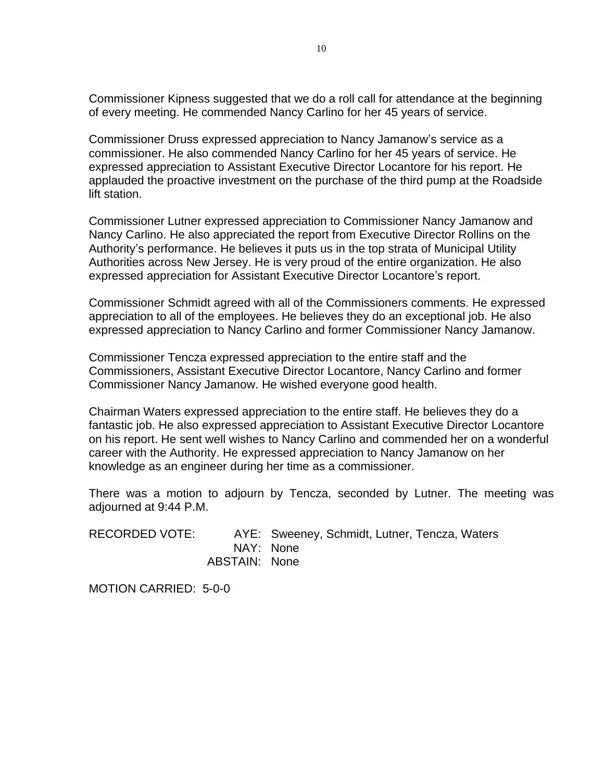Commissioner Kipness suggested that we do a roll call for attendance at the beginning of every meeting. He commended Nancy Carlino for her 45 years of service.

Commissioner Druss expressed appreciation to Nancy Jamanow's service as a commissioner. He also commended Nancy Carlino for her 45 years of service. He expressed appreciation to Assistant Executive Director Locantore for his report. He applauded the proactive investment on the purchase of the third pump at the Roadside lift station.

Commissioner Lutner expressed appreciation to Commissioner Nancy Jamanow and Nancy Carlino. He also appreciated the report from Executive Director Rollins on the Authority's performance. He believes it puts us in the top strata of Municipal Utility Authorities across New Jersey. He is very proud of the entire organization. He also expressed appreciation for Assistant Executive Director Locantore's report.

Commissioner Schmidt agreed with all of the Commissioners comments. He expressed appreciation to all of the employees. He believes they do an exceptional job. He also expressed appreciation to Nancy Carlino and former Commissioner Nancy Jamanow.

Commissioner Tencza expressed appreciation to the entire staff and the Commissioners, Assistant Executive Director Locantore, Nancy Carlino and former Commissioner Nancy Jamanow. He wished everyone good health.

Chairman Waters expressed appreciation to the entire staff. He believes they do a fantastic job. He also expressed appreciation to Assistant Executive Director Locantore on his report. He sent well wishes to Nancy Carlino and commended her on a wonderful career with the Authority. He expressed appreciation to Nancy Jamanow on her knowledge as an engineer during her time as a commissioner.

There was a motion to adjourn by Tencza, seconded by Lutner. The meeting was adjourned at 9:44 P.M.

RECORDED VOTE: AYE: Sweeney, Schmidt, Lutner, Tencza, Waters NAY: None ABSTAIN: None

MOTION CARRIED: 5-0-0